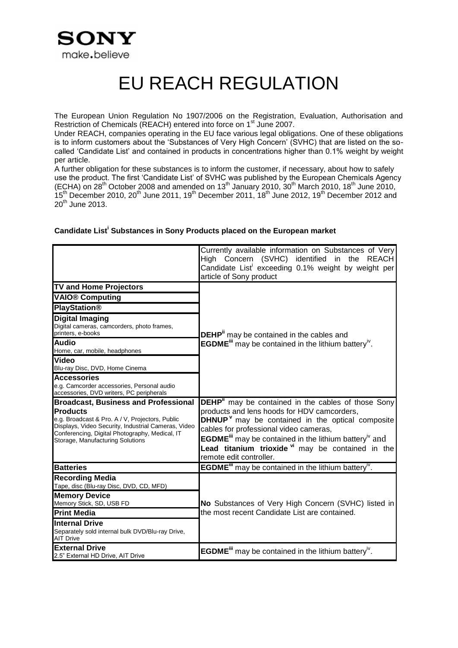

## EU REACH REGULATION

The European Union Regulation No 1907/2006 on the Registration, Evaluation, Authorisation and Restriction of Chemicals (REACH) entered into force on 1<sup>st</sup> June 2007.

Under REACH, companies operating in the EU face various legal obligations. One of these obligations is to inform customers about the 'Substances of Very High Concern' (SVHC) that are listed on the socalled 'Candidate List' and contained in products in concentrations higher than 0.1% weight by weight per article.

A further obligation for these substances is to inform the customer, if necessary, about how to safely use the product. The first 'Candidate List' of SVHC was published by the European Chemicals Agency (ECHA) on 28<sup>th</sup> October 2008 and amended on 13<sup>th</sup> January 2010, 30<sup>th</sup> March 2010, 18<sup>th</sup> June 2010,  $15<sup>th</sup>$  December 2010, 20<sup>th</sup> June 2011, 19<sup>th</sup> December 2011, 18<sup>th</sup> June 2012, 19<sup>th</sup> December 2012 and  $20^{\text{th}}$  June 2013.

<span id="page-0-3"></span><span id="page-0-2"></span><span id="page-0-1"></span>

|                                                                                                                                                                                                                                                                                                                                                                                         | Currently available information on Substances of Very<br>High Concern (SVHC) identified<br>in the<br>REACH<br>Candidate List exceeding 0.1% weight by weight per<br>article of Sony product                                                                                                                                                                                                                           |
|-----------------------------------------------------------------------------------------------------------------------------------------------------------------------------------------------------------------------------------------------------------------------------------------------------------------------------------------------------------------------------------------|-----------------------------------------------------------------------------------------------------------------------------------------------------------------------------------------------------------------------------------------------------------------------------------------------------------------------------------------------------------------------------------------------------------------------|
| <b>TV and Home Projectors</b><br><b>VAIO® Computing</b><br><b>PlayStation®</b><br><b>Digital Imaging</b><br>Digital cameras, camcorders, photo frames,<br>printers, e-books<br><b>Audio</b><br>Home, car, mobile, headphones<br>Video<br>Blu-ray Disc, DVD, Home Cinema<br><b>Accessories</b><br>e.g. Camcorder accessories, Personal audio<br>accessories, DVD writers, PC peripherals | <b>DEHP</b> <sup>ii</sup> may be contained in the cables and<br><b>EGDME</b> <sup>ii</sup> may be contained in the lithium battery <sup>iv</sup> .                                                                                                                                                                                                                                                                    |
| <b>Broadcast, Business and Professional</b><br><b>Products</b><br>e.g. Broadcast & Pro. A / V, Projectors, Public<br>Displays, Video Security, Industrial Cameras, Video<br>Conferencing, Digital Photography, Medical, IT<br>Storage, Manufacturing Solutions                                                                                                                          | <b>DEHP</b> " may be contained in the cables of those Sony<br>products and lens hoods for HDV camcorders,<br><b>DHNUP</b> <sup><math>v</math></sup> may be contained in the optical composite<br>cables for professional video cameras,<br>EGDME <sup>iii</sup> may be contained in the lithium battery <sup>iv</sup> and<br>Lead titanium trioxide v <sup>i</sup> may be contained in the<br>remote edit controller. |
| <b>Batteries</b>                                                                                                                                                                                                                                                                                                                                                                        | <b>EGDME</b> <sup>III</sup> may be contained in the lithium battery <sup>iv</sup> .                                                                                                                                                                                                                                                                                                                                   |
| <b>Recording Media</b><br>Tape, disc (Blu-ray Disc, DVD, CD, MFD)<br><b>Memory Device</b><br>Memory Stick, SD, USB FD<br><b>Print Media</b><br><b>Internal Drive</b><br>Separately sold internal bulk DVD/Blu-ray Drive,<br><b>AIT Drive</b>                                                                                                                                            | No Substances of Very High Concern (SVHC) listed in<br>the most recent Candidate List are contained.                                                                                                                                                                                                                                                                                                                  |
| <b>External Drive</b><br>2.5" External HD Drive, AIT Drive                                                                                                                                                                                                                                                                                                                              | <b>EGDME</b> <sup>III</sup> may be contained in the lithium battery <sup>iv</sup> .                                                                                                                                                                                                                                                                                                                                   |

## <span id="page-0-0"></span>**Candidate List<sup>i</sup> Substances in Sony Products placed on the European market**